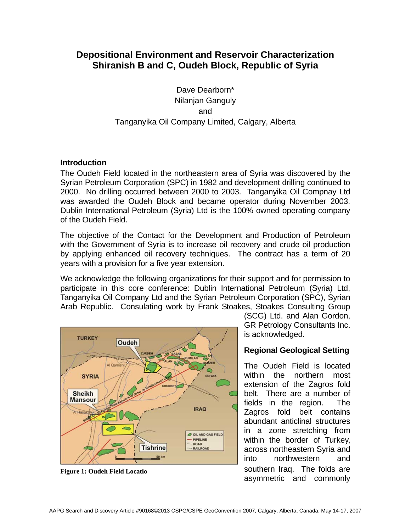# **Depositional Environment and Reservoir Characterization Shiranish B and C, Oudeh Block, Republic of Syria**

Dave Dearborn\* Nilanjan Ganguly and Tanganyika Oil Company Limited, Calgary, Alberta

### **Introduction**

The Oudeh Field located in the northeastern area of Syria was discovered by the Syrian Petroleum Corporation (SPC) in 1982 and development drilling continued to 2000. No drilling occurred between 2000 to 2003. Tanganyika Oil Compnay Ltd was awarded the Oudeh Block and became operator during November 2003. Dublin International Petroleum (Syria) Ltd is the 100% owned operating company of the Oudeh Field.

The objective of the Contact for the Development and Production of Petroleum with the Government of Syria is to increase oil recovery and crude oil production by applying enhanced oil recovery techniques. The contract has a term of 20 years with a provision for a five year extension.

We acknowledge the following organizations for their support and for permission to participate in this core conference: Dublin International Petroleum (Syria) Ltd, Tanganyika Oil Company Ltd and the Syrian Petroleum Corporation (SPC), Syrian Arab Republic. Consulating work by Frank Stoakes, Stoakes Consulting Group



(SCG) Ltd. and Alan Gordon, GR Petrology Consultants Inc. is acknowledged.

## **Regional Geological Setting**

The Oudeh Field is located within the northern most extension of the Zagros fold belt. There are a number of fields in the region. The Zagros fold belt contains abundant anticlinal structures in a zone stretching from within the border of Turkey, across northeastern Syria and into northwestern and **Fi** southern Iraq. The folds are **gure 1: Oudeh Field Locatio** asymmetric and commonly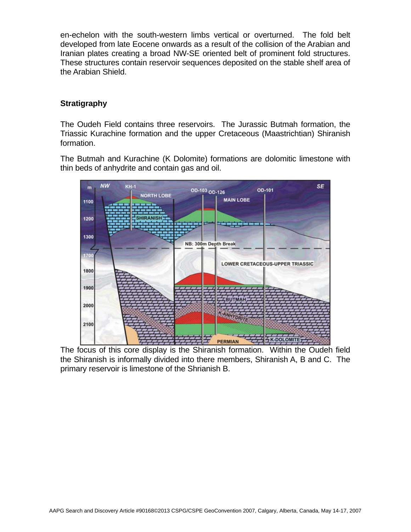en-echelon with the south-western limbs vertical or overturned. The fold belt developed from late Eocene onwards as a result of the collision of the Arabian and Iranian plates creating a broad NW-SE oriented belt of prominent fold structures. These structures contain reservoir sequences deposited on the stable shelf area of the Arabian Shield.

## **Stratigraphy**

The Oudeh Field contains three reservoirs. The Jurassic Butmah formation, the Triassic Kurachine formation and the upper Cretaceous (Maastrichtian) Shiranish formation.

The Butmah and Kurachine (K Dolomite) formations are dolomitic limestone with thin beds of anhydrite and contain gas and oil.



The focus of this core display is the Shiranish formation. Within the Oudeh field the Shiranish is informally divided into there members, Shiranish A, B and C. The primary reservoir is limestone of the Shrianish B.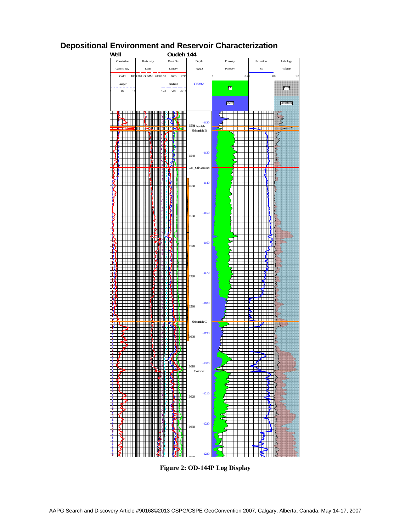

# **Depositional Environment and Reservoir Characterization**

**Figure 2: OD-144P Log Display**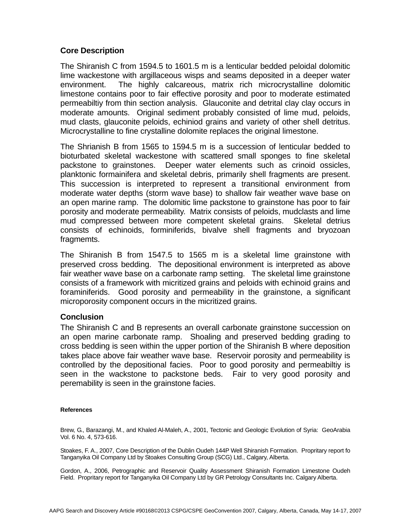### **Core Description**

The Shiranish C from 1594.5 to 1601.5 m is a lenticular bedded peloidal dolomitic lime wackestone with argillaceous wisps and seams deposited in a deeper water environment. The highly calcareous, matrix rich microcrystalline dolomitic limestone contains poor to fair effective porosity and poor to moderate estimated permeabiltiy from thin section analysis. Glauconite and detrital clay clay occurs in moderate amounts. Original sediment probably consisted of lime mud, peloids, mud clasts, glauconite peloids, echiniod grains and variety of other shell detritus. Microcrystalline to fine crystalline dolomite replaces the original limestone.

The Shrianish B from 1565 to 1594.5 m is a succession of lenticular bedded to bioturbated skeletal wackestone with scattered small sponges to fine skeletal packstone to grainstones. Deeper water elements such as crinoid ossicles, planktonic formainifera and skeletal debris, primarily shell fragments are present. This succession is interpreted to represent a transitional environment from moderate water depths (storm wave base) to shallow fair weather wave base on an open marine ramp. The dolomitic lime packstone to grainstone has poor to fair porosity and moderate permeability. Matrix consists of peloids, mudclasts and lime mud compressed between more competent skeletal grains. Skeletal detrius consists of echinoids, forminiferids, bivalve shell fragments and bryozoan fragmemts.

The Shiranish B from 1547.5 to 1565 m is a skeletal lime grainstone with preserved cross bedding. The depositional environment is interpreted as above fair weather wave base on a carbonate ramp setting. The skeletal lime grainstone consists of a framework with micritized grains and peloids with echinoid grains and foraminiferids. Good porosity and permeability in the grainstone, a significant microporosity component occurs in the micritized grains.

### **Conclusion**

The Shiranish C and B represents an overall carbonate grainstone succession on an open marine carbonate ramp. Shoaling and preserved bedding grading to cross bedding is seen within the upper portion of the Shiranish B where deposition takes place above fair weather wave base. Reservoir porosity and permeability is controlled by the depositional facies. Poor to good porosity and permeabiltiy is seen in the wackstone to packstone beds. Fair to very good porosity and peremability is seen in the grainstone facies.

#### **References**

Brew, G., Barazangi, M., and Khaled Al-Maleh, A., 2001, Tectonic and Geologic Evolution of Syria: GeoArabia Vol. 6 No. 4, 573-616.

Stoakes, F. A., 2007, Core Description of the Dublin Oudeh 144P Well Shiranish Formation. Propritary report fo Tanganyika Oil Company Ltd by Stoakes Consulting Group (SCG) Ltd., Calgary, Alberta.

Gordon, A., 2006, Petrographic and Reservoir Quality Assessment Shiranish Formation Limestone Oudeh Field. Propritary report for Tanganyika Oil Company Ltd by GR Petrology Consultants Inc. Calgary Alberta.